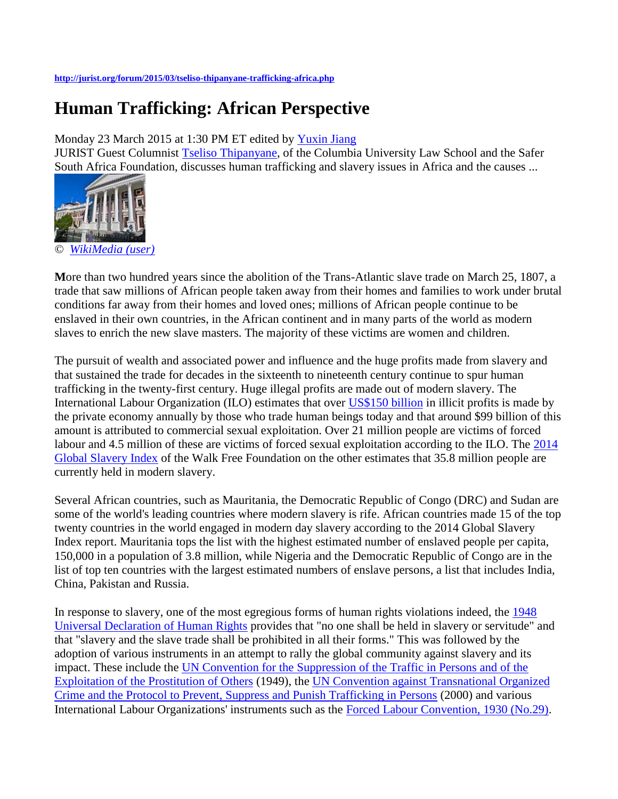## **<http://jurist.org/forum/2015/03/tseliso-thipanyane-trafficking-africa.php>**

## **Human Trafficking: African Perspective**

Monday 23 March 2015 at 1:30 PM ET edited by [Yuxin Jiang](http://jurist.org/jurist_search.php?q=Yuxin%20Jiang)

JURIST Guest Columnist [Tseliso Thipanyane,](http://www.law.columbia.edu/fac/Tseliso_Thipanyane) of the Columbia University Law School and the Safer South Africa Foundation, discusses human trafficking and slavery issues in Africa and the causes ...



**M**ore than two hundred years since the abolition of the Trans-Atlantic slave trade on March 25, 1807, a trade that saw millions of African people taken away from their homes and families to work under brutal conditions far away from their homes and loved ones; millions of African people continue to be enslaved in their own countries, in the African continent and in many parts of the world as modern slaves to enrich the new slave masters. The majority of these victims are women and children.

The pursuit of wealth and associated power and influence and the huge profits made from slavery and that sustained the trade for decades in the sixteenth to nineteenth century continue to spur human trafficking in the twenty-first century. Huge illegal profits are made out of modern slavery. The International Labour Organization (ILO) estimates that over [US\\$150 billion](http://www.ilo.org/global/topics/forced-labour/news/WCMS_250243/lang--en/index.htm) in illicit profits is made by the private economy annually by those who trade human beings today and that around \$99 billion of this amount is attributed to commercial sexual exploitation. Over 21 million people are victims of forced labour and 4.5 million of these are victims of forced sexual exploitation according to the ILO. The [2014](http://www.globalslaveryindex.org/)  [Global Slavery Index](http://www.globalslaveryindex.org/) of the Walk Free Foundation on the other estimates that 35.8 million people are currently held in modern slavery.

Several African countries, such as Mauritania, the Democratic Republic of Congo (DRC) and Sudan are some of the world's leading countries where modern slavery is rife. African countries made 15 of the top twenty countries in the world engaged in modern day slavery according to the 2014 Global Slavery Index report. Mauritania tops the list with the highest estimated number of enslaved people per capita, 150,000 in a population of 3.8 million, while Nigeria and the Democratic Republic of Congo are in the list of top ten countries with the largest estimated numbers of enslave persons, a list that includes India, China, Pakistan and Russia.

In response to slavery, one of the most egregious forms of human rights violations indeed, the [1948](http://www.un.org/en/documents/udhr/)  [Universal Declaration of Human Rights](http://www.un.org/en/documents/udhr/) provides that "no one shall be held in slavery or servitude" and that "slavery and the slave trade shall be prohibited in all their forms." This was followed by the adoption of various instruments in an attempt to rally the global community against slavery and its impact. These include the [UN Convention for the Suppression of the Traffic in Persons and of the](http://www.ohchr.org/EN/ProfessionalInterest/Pages/TrafficInPersons.aspx)  [Exploitation of the Prostitution of Others](http://www.ohchr.org/EN/ProfessionalInterest/Pages/TrafficInPersons.aspx) (1949), the [UN Convention against Transnational Organized](http://www.unodc.org/unodc/treaties/CTOC/)  [Crime and the Protocol to Prevent, Suppress and Punish Trafficking in Persons](http://www.unodc.org/unodc/treaties/CTOC/) (2000) and various International Labour Organizations' instruments such as the [Forced Labour Convention, 1930 \(No.29\).](http://www.ilo.org/dyn/normlex/en/f?p=NORMLEXPUB:12100:0::NO::P12100_ILO_CODE:C029)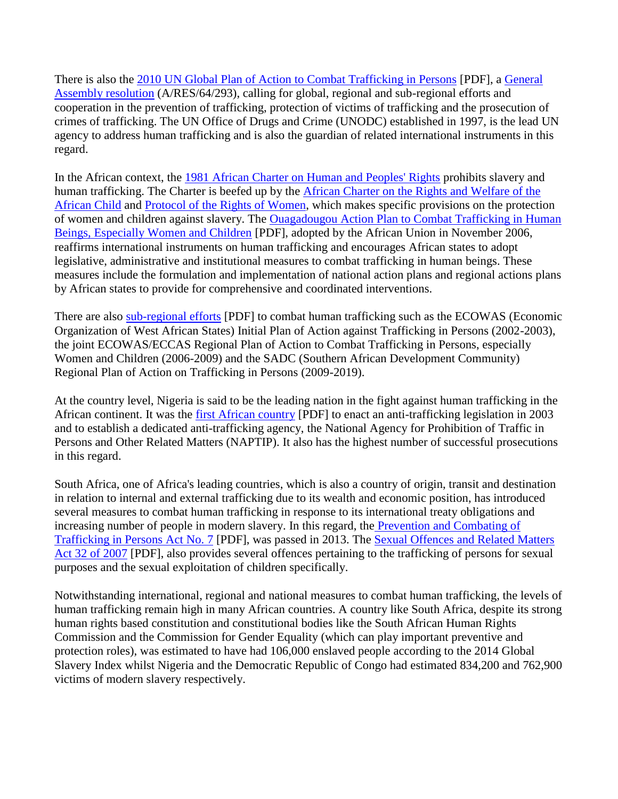There is also the [2010 UN Global Plan of Action to Combat Trafficking in Persons](https://www.google.com/url?sa=t&rct=j&q=&esrc=s&source=web&cd=1&cad=rja&uact=8&ved=0CB8QFjAA&url=http%3A%2F%2Fwww.unodc.org%2Fdocuments%2Fhuman-trafficking%2FUnited_Nations_Global_Plan_of_Action_to_Combat_Trafficking_in_Persons.pdf&ei=WrINVeufPMbAggT96oPYCw&usg=AFQjCNG5KKTT1aAbsb4TWJZfhKerSeM-GQ&bvm=bv.89060397,d.eXY) [PDF], a [General](http://daccess-dds-ny.un.org/doc/UNDOC/GEN/N09/479/41/PDF/N0947941.pdf?OpenElement)  [Assembly resolution](http://daccess-dds-ny.un.org/doc/UNDOC/GEN/N09/479/41/PDF/N0947941.pdf?OpenElement) (A/RES/64/293), calling for global, regional and sub-regional efforts and cooperation in the prevention of trafficking, protection of victims of trafficking and the prosecution of crimes of trafficking. The UN Office of Drugs and Crime (UNODC) established in 1997, is the lead UN agency to address human trafficking and is also the guardian of related international instruments in this regard.

In the African context, the [1981 African Charter on Human and Peoples' Rights](http://www.achpr.org/instruments/achpr/) prohibits slavery and human trafficking. The Charter is beefed up by the [African Charter on the Rights and Welfare of the](http://www1.umn.edu/humanrts/africa/afchild.htm)  [African Child](http://www1.umn.edu/humanrts/africa/afchild.htm) and [Protocol of the Rights of Women,](http://www.achpr.org/instruments/women-protocol/) which makes specific provisions on the protection of women and children against slavery. The [Ouagadougou Action Plan to Combat Trafficking in Human](http://www.au.int/en/sites/default/files/Ouagadougou%20Action%20Plan%20-%20E.pdf)  [Beings, Especially Women and Children](http://www.au.int/en/sites/default/files/Ouagadougou%20Action%20Plan%20-%20E.pdf) [PDF], adopted by the African Union in November 2006, reaffirms international instruments on human trafficking and encourages African states to adopt legislative, administrative and institutional measures to combat trafficking in human beings. These measures include the formulation and implementation of national action plans and regional actions plans by African states to provide for comprehensive and coordinated interventions.

There are also [sub-regional efforts](http://www.ohchr.org/Documents/Issues/Trafficking/Dakar_summary_structures_en.pdf) [PDF] to combat human trafficking such as the ECOWAS (Economic Organization of West African States) Initial Plan of Action against Trafficking in Persons (2002-2003), the joint ECOWAS/ECCAS Regional Plan of Action to Combat Trafficking in Persons, especially Women and Children (2006-2009) and the SADC (Southern African Development Community) Regional Plan of Action on Trafficking in Persons (2009-2019).

At the country level, Nigeria is said to be the leading nation in the fight against human trafficking in the African continent. It was the [first African country](http://www.google.com/url?sa=t&rct=j&q=&esrc=s&source=web&cd=1&ved=0CCAQFjAA&url=http%3A%2F%2Fmercury.ethz.ch%2Fserviceengine%2FFiles%2FISN%2F44808%2Fipublicationdocument_singledocument%2Fbcea63bf-a73a-452e-8d4c-96c68b30545a%2Fen%2F2006_WP_Review%2Bof%2Blegislation%2Band%2Bpolicies%2Bin%2BNigeria%2B.pdf&ei=UIUNVa68BO2wsASAyICQBg&usg=AFQjCNEA7AADAj5eaIS_jiiUg_WHBMEURg&sig2=WOVfjblLqL30u5BSPAPW2A&bvm=bv.88528373,d.cWc) [PDF] to enact an anti-trafficking legislation in 2003 and to establish a dedicated anti-trafficking agency, the National Agency for Prohibition of Traffic in Persons and Other Related Matters (NAPTIP). It also has the highest number of successful prosecutions in this regard.

South Africa, one of Africa's leading countries, which is also a country of origin, transit and destination in relation to internal and external trafficking due to its wealth and economic position, has introduced several measures to combat human trafficking in response to its international treaty obligations and increasing number of people in modern slavery. In this regard, the **Prevention and Combating of** [Trafficking in Persons Act No. 7](http://www.justice.gov.za/legislation/acts/2013-007.pdf) [PDF], was passed in 2013. The [Sexual Offences and Related Matters](http://www.justice.gov.za/legislation/acts/2007-032.pdf)  [Act 32 of 2007](http://www.justice.gov.za/legislation/acts/2007-032.pdf) [PDF], also provides several offences pertaining to the trafficking of persons for sexual purposes and the sexual exploitation of children specifically.

Notwithstanding international, regional and national measures to combat human trafficking, the levels of human trafficking remain high in many African countries. A country like South Africa, despite its strong human rights based constitution and constitutional bodies like the South African Human Rights Commission and the Commission for Gender Equality (which can play important preventive and protection roles), was estimated to have had 106,000 enslaved people according to the 2014 Global Slavery Index whilst Nigeria and the Democratic Republic of Congo had estimated 834,200 and 762,900 victims of modern slavery respectively.